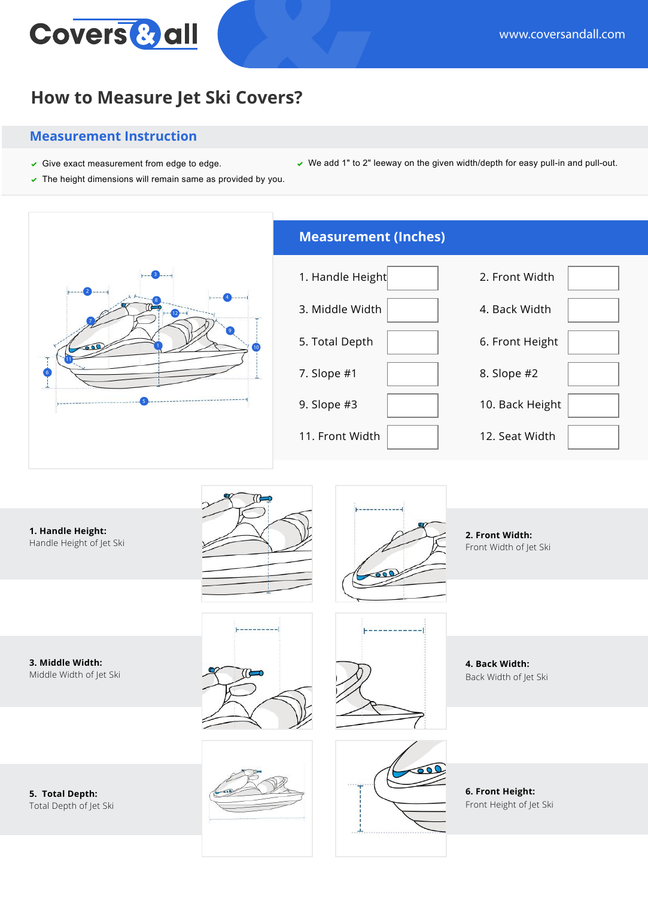

## **How to Measure Jet Ski Covers?**

## **Measurement Instruction**

- Give exact measurement from edge to edge. We add 1" to 2" leeway on the given width/depth for easy pull-in and pull-out.
- $\triangleright$  The height dimensions will remain same as provided by you.



**1. Handle Height:** Handle Height of Jet Ski





**2. Front Width:** Front Width of Jet Ski

**3. Middle Width:** Middle Width of Jet Ski





**4. Back Width:** Back Width of Jet Ski

**5. Total Depth:** Total Depth of Jet Ski





**6. Front Height:** Front Height of Jet Ski